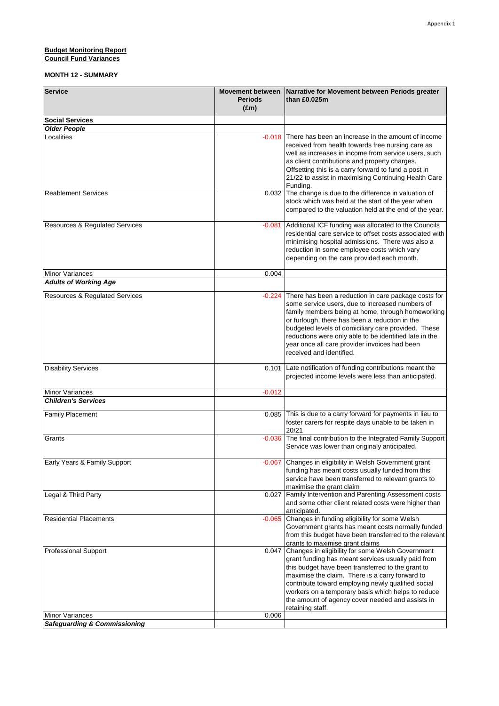## **Budget Monitoring Report Council Fund Variances**

## **MONTH 12 - SUMMARY**

| <b>Service</b>                            | <b>Movement between</b> | Narrative for Movement between Periods greater               |
|-------------------------------------------|-------------------------|--------------------------------------------------------------|
|                                           | <b>Periods</b>          | than £0.025m                                                 |
|                                           | $(\text{Em})$           |                                                              |
| <b>Social Services</b>                    |                         |                                                              |
| <b>Older People</b>                       |                         |                                                              |
| Localities                                | $-0.018$                | There has been an increase in the amount of income           |
|                                           |                         | received from health towards free nursing care as            |
|                                           |                         | well as increases in income from service users, such         |
|                                           |                         | as client contributions and property charges.                |
|                                           |                         | Offsetting this is a carry forward to fund a post in         |
|                                           |                         | 21/22 to assist in maximising Continuing Health Care         |
|                                           |                         | Fundina.                                                     |
| <b>Reablement Services</b>                | 0.032                   | The change is due to the difference in valuation of          |
|                                           |                         | stock which was held at the start of the year when           |
|                                           |                         | compared to the valuation held at the end of the year.       |
|                                           |                         |                                                              |
| <b>Resources &amp; Regulated Services</b> | $-0.081$                | Additional ICF funding was allocated to the Councils         |
|                                           |                         | residential care service to offset costs associated with     |
|                                           |                         | minimising hospital admissions. There was also a             |
|                                           |                         | reduction in some employee costs which vary                  |
|                                           |                         | depending on the care provided each month.                   |
|                                           |                         |                                                              |
| <b>Minor Variances</b>                    | 0.004                   |                                                              |
| <b>Adults of Working Age</b>              |                         |                                                              |
| <b>Resources &amp; Regulated Services</b> | $-0.224$                | There has been a reduction in care package costs for         |
|                                           |                         | some service users, due to increased numbers of              |
|                                           |                         | family members being at home, through homeworking            |
|                                           |                         | or furlough, there has been a reduction in the               |
|                                           |                         | budgeted levels of domiciliary care provided. These          |
|                                           |                         | reductions were only able to be identified late in the       |
|                                           |                         | year once all care provider invoices had been                |
|                                           |                         | received and identified.                                     |
|                                           |                         |                                                              |
| <b>Disability Services</b>                | 0.101                   | Late notification of funding contributions meant the         |
|                                           |                         | projected income levels were less than anticipated.          |
|                                           |                         |                                                              |
| <b>Minor Variances</b>                    | $-0.012$                |                                                              |
| <b>Children's Services</b>                |                         |                                                              |
|                                           |                         | 0.085 This is due to a carry forward for payments in lieu to |
| <b>Family Placement</b>                   |                         | foster carers for respite days unable to be taken in         |
|                                           |                         | 20/21                                                        |
| Grants                                    | $-0.036$                | The final contribution to the Integrated Family Support      |
|                                           |                         | Service was lower than originaly anticipated.                |
|                                           |                         |                                                              |
| Early Years & Family Support              |                         | 0.067 Changes in eligibility in Welsh Government grant       |
|                                           |                         | funding has meant costs usually funded from this             |
|                                           |                         | service have been transferred to relevant grants to          |
|                                           |                         | maximise the grant claim                                     |
| Legal & Third Party                       | 0.027                   | Family Intervention and Parenting Assessment costs           |
|                                           |                         | and some other client related costs were higher than         |
|                                           |                         | anticipated.                                                 |
| <b>Residential Placements</b>             | $-0.065$                | Changes in funding eligibility for some Welsh                |
|                                           |                         | Government grants has meant costs normally funded            |
|                                           |                         | from this budget have been transferred to the relevant       |
|                                           |                         | grants to maximise grant claims                              |
| <b>Professional Support</b>               | 0.047                   | Changes in eligibility for some Welsh Government             |
|                                           |                         | grant funding has meant services usually paid from           |
|                                           |                         | this budget have been transferred to the grant to            |
|                                           |                         | maximise the claim. There is a carry forward to              |
|                                           |                         | contribute toward employing newly qualified social           |
|                                           |                         | workers on a temporary basis which helps to reduce           |
|                                           |                         | the amount of agency cover needed and assists in             |
|                                           |                         | retaining staff.                                             |
| <b>Minor Variances</b>                    | 0.006                   |                                                              |
| <b>Safeguarding &amp; Commissioning</b>   |                         |                                                              |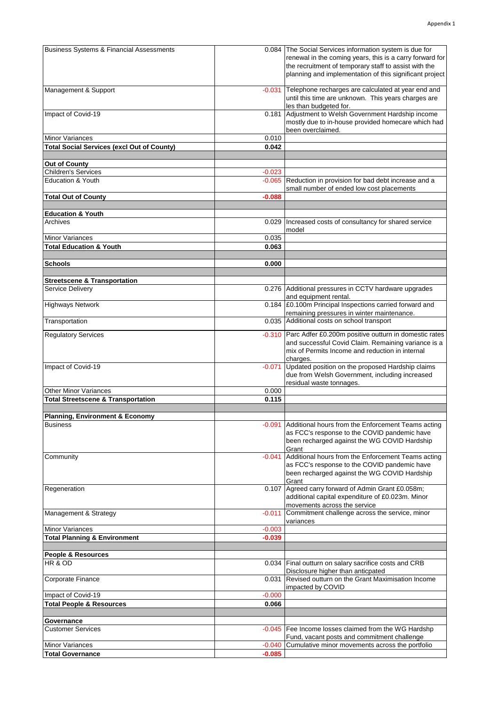| <b>Business Systems &amp; Financial Assessments</b> |                      | 0.084 The Social Services information system is due for                                                           |
|-----------------------------------------------------|----------------------|-------------------------------------------------------------------------------------------------------------------|
|                                                     |                      | renewal in the coming years, this is a carry forward for<br>the recruitment of temporary staff to assist with the |
|                                                     |                      | planning and implementation of this significant project                                                           |
|                                                     |                      |                                                                                                                   |
| Management & Support                                | $-0.031$             | Telephone recharges are calculated at year end and                                                                |
|                                                     |                      | until this time are unknown. This years charges are                                                               |
|                                                     |                      | les than budgeted for.                                                                                            |
| Impact of Covid-19                                  | 0.181                | Adjustment to Welsh Government Hardship income<br>mostly due to in-house provided homecare which had              |
|                                                     |                      | been overclaimed.                                                                                                 |
| <b>Minor Variances</b>                              | 0.010                |                                                                                                                   |
| <b>Total Social Services (excl Out of County)</b>   | 0.042                |                                                                                                                   |
|                                                     |                      |                                                                                                                   |
| <b>Out of County</b>                                |                      |                                                                                                                   |
| Children's Services<br><b>Education &amp; Youth</b> | $-0.023$<br>$-0.065$ | Reduction in provision for bad debt increase and a                                                                |
|                                                     |                      | small number of ended low cost placements                                                                         |
| <b>Total Out of County</b>                          | $-0.088$             |                                                                                                                   |
|                                                     |                      |                                                                                                                   |
| <b>Education &amp; Youth</b>                        |                      |                                                                                                                   |
| Archives                                            | 0.029                | Increased costs of consultancy for shared service                                                                 |
| <b>Minor Variances</b>                              | 0.035                | model                                                                                                             |
| <b>Total Education &amp; Youth</b>                  | 0.063                |                                                                                                                   |
|                                                     |                      |                                                                                                                   |
| <b>Schools</b>                                      | 0.000                |                                                                                                                   |
|                                                     |                      |                                                                                                                   |
| <b>Streetscene &amp; Transportation</b>             |                      |                                                                                                                   |
| <b>Service Delivery</b>                             |                      | 0.276 Additional pressures in CCTV hardware upgrades                                                              |
| <b>Highways Network</b>                             | 0.184                | and equipment rental.<br>£0.100m Principal Inspections carried forward and                                        |
|                                                     |                      | remaining pressures in winter maintenance.                                                                        |
| Transportation                                      |                      | 0.035 Additional costs on school transport                                                                        |
|                                                     | $-0.310$             | Parc Adfer £0.200m positive outturn in domestic rates                                                             |
| <b>Regulatory Services</b>                          |                      | and successful Covid Claim. Remaining variance is a                                                               |
|                                                     |                      | mix of Permits Income and reduction in internal                                                                   |
|                                                     |                      | charges.                                                                                                          |
| Impact of Covid-19                                  | $-0.071$             | Updated position on the proposed Hardship claims                                                                  |
|                                                     |                      | due from Welsh Government, including increased<br>residual waste tonnages.                                        |
| <b>Other Minor Variances</b>                        | 0.000                |                                                                                                                   |
| <b>Total Streetscene &amp; Transportation</b>       | 0.115                |                                                                                                                   |
|                                                     |                      |                                                                                                                   |
| <b>Planning, Environment &amp; Economy</b>          |                      |                                                                                                                   |
| <b>Business</b>                                     | $-0.091$             | Additional hours from the Enforcement Teams acting                                                                |
|                                                     |                      | as FCC's response to the COVID pandemic have                                                                      |
|                                                     |                      | been recharged against the WG COVID Hardship<br>Grant                                                             |
| Community                                           | $-0.041$             | Additional hours from the Enforcement Teams acting                                                                |
|                                                     |                      | as FCC's response to the COVID pandemic have                                                                      |
|                                                     |                      | been recharged against the WG COVID Hardship                                                                      |
|                                                     |                      | Grant                                                                                                             |
| Regeneration                                        | 0.107                | Agreed carry forward of Admin Grant £0.058m;<br>additional capital expenditure of £0.023m. Minor                  |
|                                                     |                      | movements across the service                                                                                      |
| Management & Strategy                               | $-0.011$             | Commitment challenge across the service, minor                                                                    |
|                                                     |                      | variances                                                                                                         |
| <b>Minor Variances</b>                              | $-0.003$             |                                                                                                                   |
| <b>Total Planning &amp; Environment</b>             | $-0.039$             |                                                                                                                   |
|                                                     |                      |                                                                                                                   |
| People & Resources<br>HR & OD                       | 0.034                | Final outturn on salary sacrifice costs and CRB                                                                   |
|                                                     |                      | Disclosure higher than anticpated                                                                                 |
| Corporate Finance                                   | 0.031                | Revised outturn on the Grant Maximisation Income                                                                  |
|                                                     |                      | impacted by COVID                                                                                                 |
| Impact of Covid-19                                  | $-0.000$             |                                                                                                                   |
| <b>Total People &amp; Resources</b>                 | 0.066                |                                                                                                                   |
| Governance                                          |                      |                                                                                                                   |
| <b>Customer Services</b>                            | $-0.045$             | Fee Income losses claimed from the WG Hardshp                                                                     |
|                                                     |                      | Fund, vacant posts and commitment challenge                                                                       |
| <b>Minor Variances</b>                              | $-0.040$             | Cumulative minor movements across the portfolio                                                                   |
| <b>Total Governance</b>                             | $-0.085$             |                                                                                                                   |